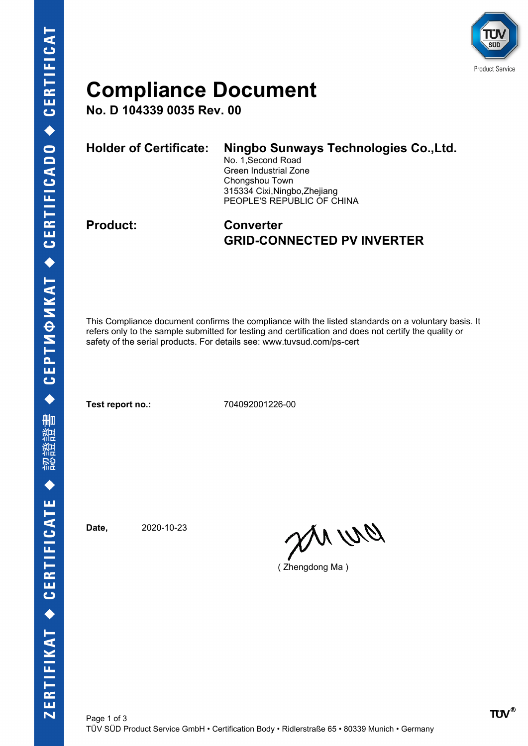

## **Compliance Document**

**No. D 104339 0035 Rev. 00**

| <b>Holder of Certificate:</b> | Ningbo Sunways Technologies Co., Ltd.<br>No. 1, Second Road<br>Green Industrial Zone<br>Chongshou Town<br>315334 Cixi, Ningbo, Zhejiang<br>PEOPLE'S REPUBLIC OF CHINA |
|-------------------------------|-----------------------------------------------------------------------------------------------------------------------------------------------------------------------|
|                               |                                                                                                                                                                       |

### **Product: Converter GRID-CONNECTED PV INVERTER**

This Compliance document confirms the compliance with the listed standards on a voluntary basis. It refers only to the sample submitted for testing and certification and does not certify the quality or safety of the serial products. For details see: www.tuvsud.com/ps-cert

**Test report no.:** 704092001226-00

**Date,** 2020-10-23

en ur

( Zhengdong Ma )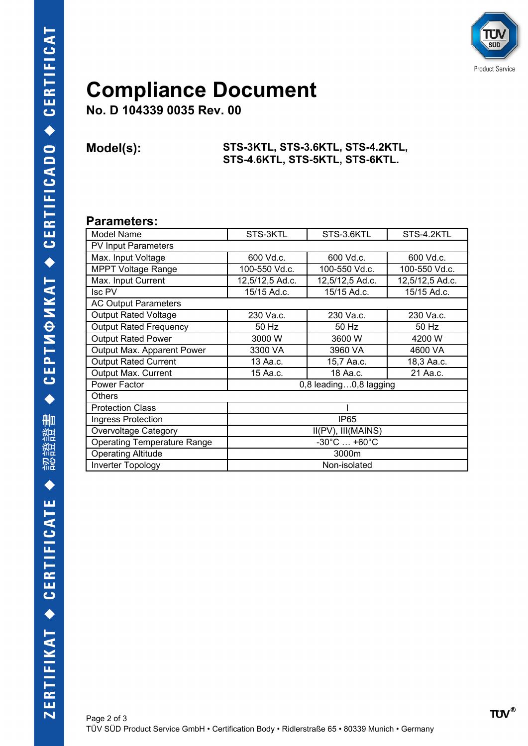

# **Compliance Document**

**No. D 104339 0035 Rev. 00**

#### **Model(s): STS-3KTL, STS-3.6KTL, STS-4.2KTL, STS-4.6KTL, STS-5KTL, STS-6KTL.**

#### **Parameters:**

| Model Name                         | STS-3KTL                        | STS-3.6KTL      | STS-4.2KTL      |  |  |
|------------------------------------|---------------------------------|-----------------|-----------------|--|--|
| <b>PV Input Parameters</b>         |                                 |                 |                 |  |  |
| Max. Input Voltage                 | 600 Vd.c.                       | 600 Vd.c.       | 600 Vd.c.       |  |  |
| <b>MPPT Voltage Range</b>          | 100-550 Vd.c.                   | 100-550 Vd.c.   | 100-550 Vd.c.   |  |  |
| Max. Input Current                 | 12,5/12,5 Ad.c.                 | 12,5/12,5 Ad.c. | 12,5/12,5 Ad.c. |  |  |
| Isc PV                             | 15/15 Ad.c.                     | 15/15 Ad.c.     | 15/15 Ad.c.     |  |  |
| <b>AC Output Parameters</b>        |                                 |                 |                 |  |  |
| <b>Output Rated Voltage</b>        | 230 Va.c.                       | 230 Va.c.       | 230 Va.c.       |  |  |
| <b>Output Rated Frequency</b>      | 50 Hz                           | 50 Hz           | 50 Hz           |  |  |
| <b>Output Rated Power</b>          | 3000 W                          | 3600 W          | 4200 W          |  |  |
| Output Max. Apparent Power         | 3300 VA                         | 3960 VA         | 4600 VA         |  |  |
| <b>Output Rated Current</b>        | 13 Aa.c.                        | 15,7 Aa.c.      | 18,3 Aa.c.      |  |  |
| Output Max. Current                | 15 Aa.c.                        | 18 Aa.c.        | 21 Aa.c.        |  |  |
| Power Factor                       | 0,8 leading0,8 lagging          |                 |                 |  |  |
| <b>Others</b>                      |                                 |                 |                 |  |  |
| <b>Protection Class</b>            |                                 |                 |                 |  |  |
| Ingress Protection                 | IP <sub>65</sub>                |                 |                 |  |  |
| Overvoltage Category               | II(PV), III(MAINS)              |                 |                 |  |  |
| <b>Operating Temperature Range</b> | $-30^{\circ}$ C $+60^{\circ}$ C |                 |                 |  |  |
| <b>Operating Altitude</b>          | 3000m                           |                 |                 |  |  |
| <b>Inverter Topology</b>           | Non-isolated                    |                 |                 |  |  |